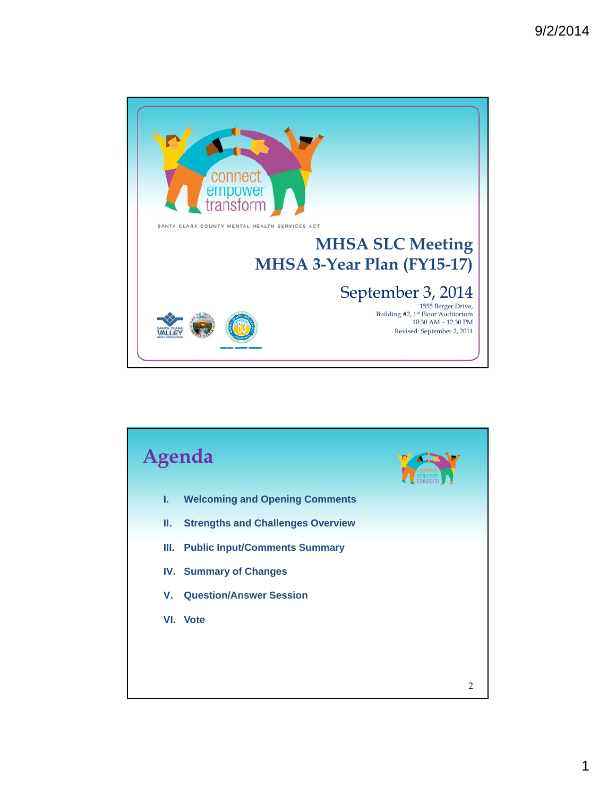

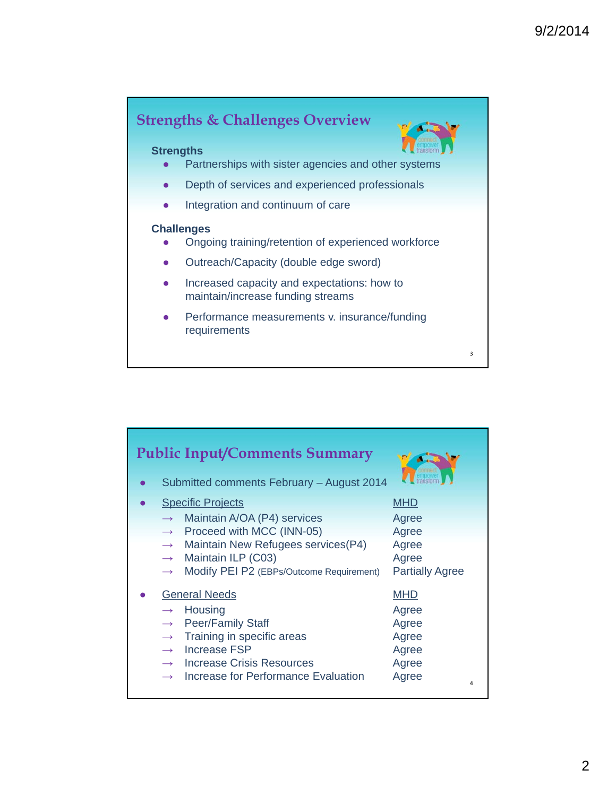

| <b>Public Input/Comments Summary</b><br>Submitted comments February - August 2014                                                                                                                                                                                                                 | transform                                                                |
|---------------------------------------------------------------------------------------------------------------------------------------------------------------------------------------------------------------------------------------------------------------------------------------------------|--------------------------------------------------------------------------|
| <b>Specific Projects</b><br>Maintain A/OA (P4) services<br>$\rightarrow$<br>Proceed with MCC (INN-05)<br>$\rightarrow$<br>Maintain New Refugees services(P4)<br>$\rightarrow$<br>Maintain ILP (C03)<br>$\rightarrow$<br>Modify PEI P2 (EBPs/Outcome Requirement)<br>$\rightarrow$                 | <b>MHD</b><br>Agree<br>Agree<br>Agree<br>Agree<br><b>Partially Agree</b> |
| <b>General Needs</b><br>Housing<br>$\rightarrow$<br><b>Peer/Family Staff</b><br>$\rightarrow$<br>Training in specific areas<br>$\rightarrow$<br><b>Increase FSP</b><br>$\rightarrow$<br><b>Increase Crisis Resources</b><br>$\rightarrow$<br>Increase for Performance Evaluation<br>$\rightarrow$ | <b>MHD</b><br>Agree<br>Agree<br>Agree<br>Agree<br>Agree<br>Agree<br>4    |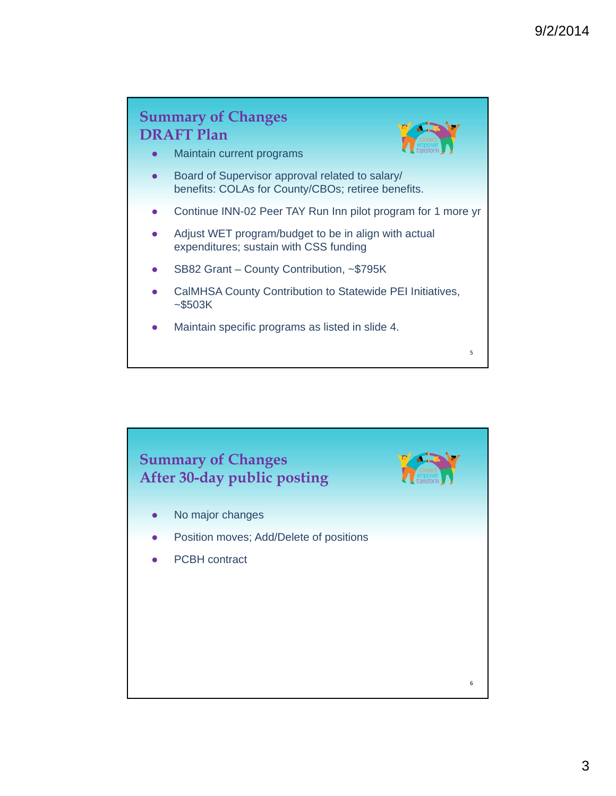

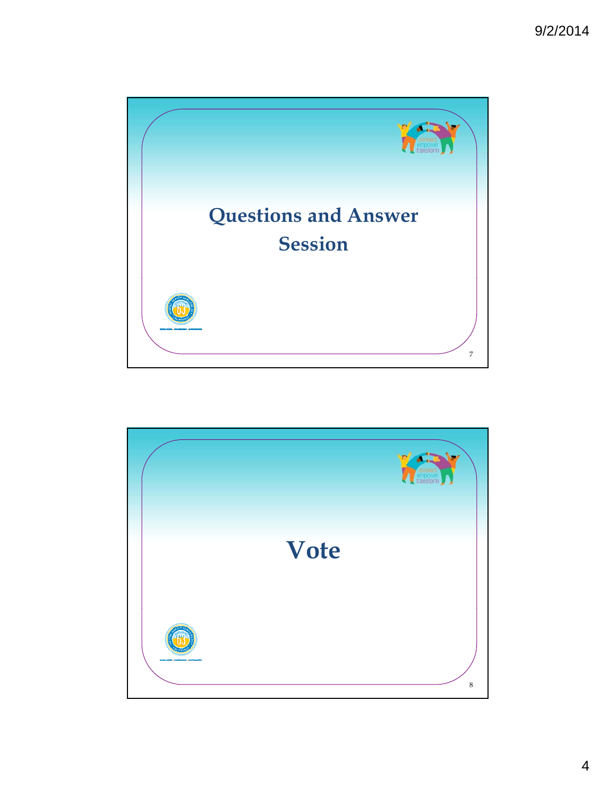